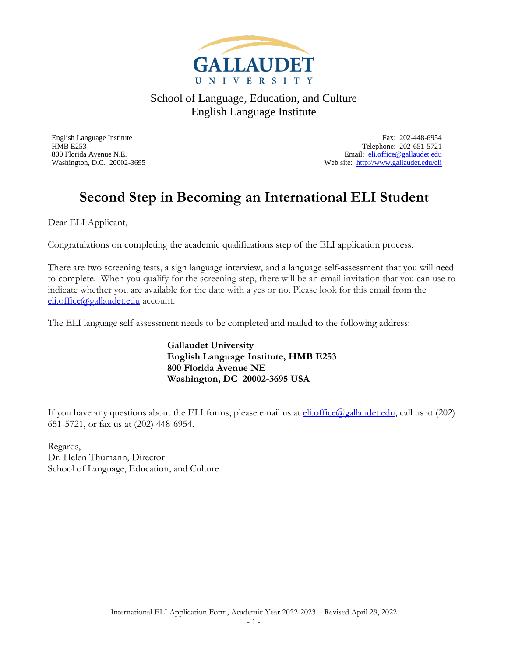

English Language Institute Fax: 202-448-6954 HMB E253 Telephone: 202-651-5721 800 Florida Avenue N.E.<br>
Web site: http://www.gallaudet.edu/eli<br>
Web site: http://www.gallaudet.edu/eli Web site:<http://www.gallaudet.edu/eli>

## **Second Step in Becoming an International ELI Student**

Dear ELI Applicant,

Congratulations on completing the academic qualifications step of the ELI application process.

There are two screening tests, a sign language interview, and a language self-assessment that you will need to complete. When you qualify for the screening step, there will be an email invitation that you can use to indicate whether you are available for the date with a yes or no. Please look for this email from the [eli.office@gallaudet.edu](mailto:eli.office@gallaudet.edu) account.

The ELI language self-assessment needs to be completed and mailed to the following address:

**Gallaudet University English Language Institute, HMB E253 800 Florida Avenue NE Washington, DC 20002-3695 USA**

If you have any questions about the ELI forms, please email us at  $\frac{\text{di.office}(a_{\text{l}})$  call us at (202) 651-5721, or fax us at (202) 448-6954.

Regards, Dr. Helen Thumann, Director School of Language, Education, and Culture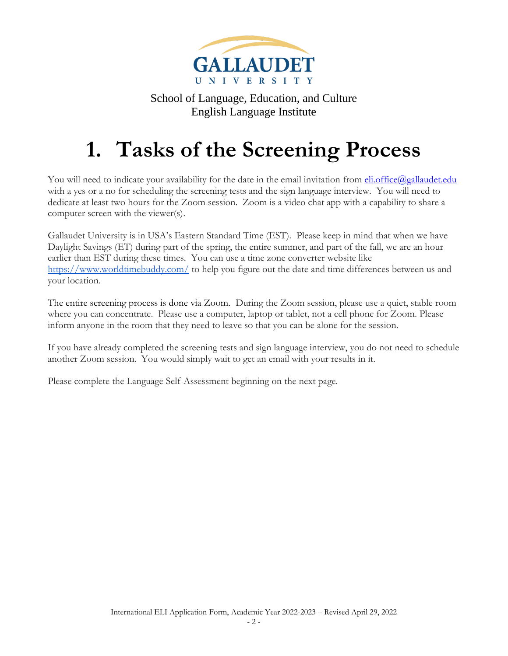

# **1. Tasks of the Screening Process**

You will need to indicate your availability for the date in the email invitation from **eli.office@gallaudet.edu** with a yes or a no for scheduling the screening tests and the sign language interview. You will need to dedicate at least two hours for the Zoom session. Zoom is a video chat app with a capability to share a computer screen with the viewer(s).

Gallaudet University is in USA's Eastern Standard Time (EST). Please keep in mind that when we have Daylight Savings (ET) during part of the spring, the entire summer, and part of the fall, we are an hour earlier than EST during these times. You can use a time zone converter website like <https://www.worldtimebuddy.com/> to help you figure out the date and time differences between us and your location.

The entire screening process is done via Zoom. During the Zoom session, please use a quiet, stable room where you can concentrate. Please use a computer, laptop or tablet, not a cell phone for Zoom. Please inform anyone in the room that they need to leave so that you can be alone for the session.

If you have already completed the screening tests and sign language interview, you do not need to schedule another Zoom session. You would simply wait to get an email with your results in it.

Please complete the Language Self-Assessment beginning on the next page.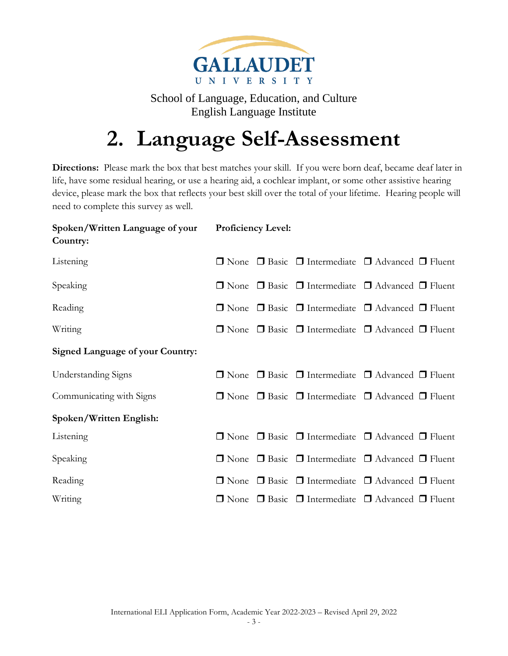

## **2. Language Self-Assessment**

**Directions:** Please mark the box that best matches your skill. If you were born deaf, became deaf later in life, have some residual hearing, or use a hearing aid, a cochlear implant, or some other assistive hearing device, please mark the box that reflects your best skill over the total of your lifetime. Hearing people will need to complete this survey as well.

| Spoken/Written Language of your<br>Country: | <b>Proficiency Level:</b> |                                                                            |  |
|---------------------------------------------|---------------------------|----------------------------------------------------------------------------|--|
| Listening                                   |                           | $\Box$ None $\Box$ Basic $\Box$ Intermediate $\Box$ Advanced $\Box$ Fluent |  |
| Speaking                                    |                           | $\Box$ None $\Box$ Basic $\Box$ Intermediate $\Box$ Advanced $\Box$ Fluent |  |
| Reading                                     |                           | $\Box$ None $\Box$ Basic $\Box$ Intermediate $\Box$ Advanced $\Box$ Fluent |  |
| Writing                                     |                           | $\Box$ None $\Box$ Basic $\Box$ Intermediate $\Box$ Advanced $\Box$ Fluent |  |
| <b>Signed Language of your Country:</b>     |                           |                                                                            |  |
| <b>Understanding Signs</b>                  |                           | $\Box$ None $\Box$ Basic $\Box$ Intermediate $\Box$ Advanced $\Box$ Fluent |  |
| Communicating with Signs                    |                           | $\Box$ None $\Box$ Basic $\Box$ Intermediate $\Box$ Advanced $\Box$ Fluent |  |
| Spoken/Written English:                     |                           |                                                                            |  |
| Listening                                   |                           | $\Box$ None $\Box$ Basic $\Box$ Intermediate $\Box$ Advanced $\Box$ Fluent |  |
| Speaking                                    |                           | $\Box$ None $\Box$ Basic $\Box$ Intermediate $\Box$ Advanced $\Box$ Fluent |  |
| Reading                                     |                           | $\Box$ None $\Box$ Basic $\Box$ Intermediate $\Box$ Advanced $\Box$ Fluent |  |
| Writing                                     |                           | $\Box$ None $\Box$ Basic $\Box$ Intermediate $\Box$ Advanced $\Box$ Fluent |  |